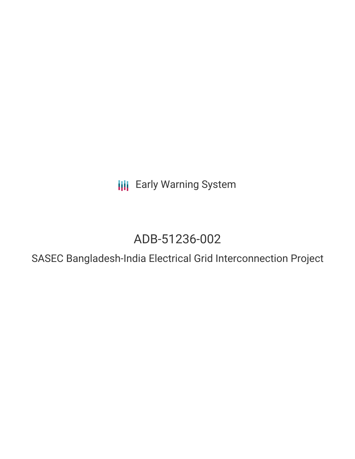**III** Early Warning System

# ADB-51236-002

SASEC Bangladesh-India Electrical Grid Interconnection Project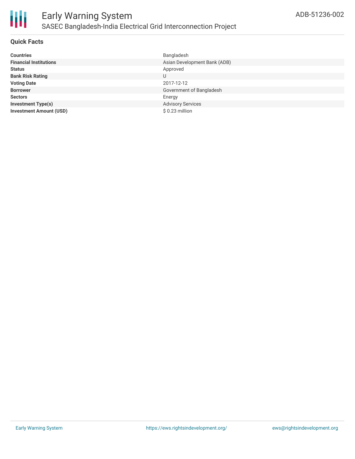

### **Quick Facts**

| <b>Countries</b>               | Bangladesh                   |
|--------------------------------|------------------------------|
| <b>Financial Institutions</b>  | Asian Development Bank (ADB) |
| <b>Status</b>                  | Approved                     |
| <b>Bank Risk Rating</b>        | U                            |
| <b>Voting Date</b>             | 2017-12-12                   |
| <b>Borrower</b>                | Government of Bangladesh     |
| <b>Sectors</b>                 | Energy                       |
| <b>Investment Type(s)</b>      | <b>Advisory Services</b>     |
| <b>Investment Amount (USD)</b> | $$0.23$ million              |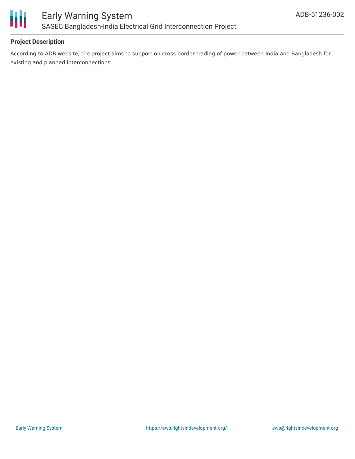

# **Project Description**

According to ADB website, the project aims to support on cross border trading of power between India and Bangladesh for existing and planned interconnections.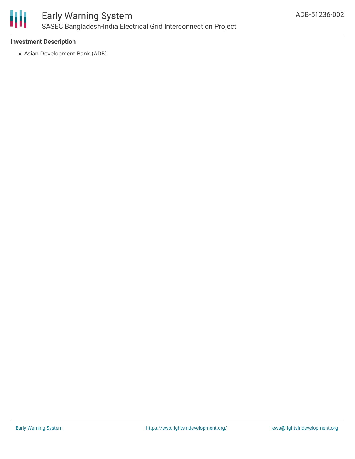

# Early Warning System SASEC Bangladesh-India Electrical Grid Interconnection Project

## **Investment Description**

Asian Development Bank (ADB)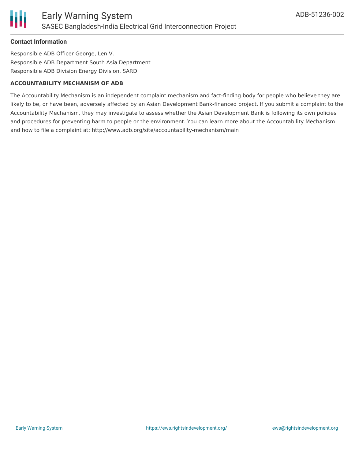#### **Contact Information**

Responsible ADB Officer George, Len V. Responsible ADB Department South Asia Department Responsible ADB Division Energy Division, SARD

#### **ACCOUNTABILITY MECHANISM OF ADB**

The Accountability Mechanism is an independent complaint mechanism and fact-finding body for people who believe they are likely to be, or have been, adversely affected by an Asian Development Bank-financed project. If you submit a complaint to the Accountability Mechanism, they may investigate to assess whether the Asian Development Bank is following its own policies and procedures for preventing harm to people or the environment. You can learn more about the Accountability Mechanism and how to file a complaint at: http://www.adb.org/site/accountability-mechanism/main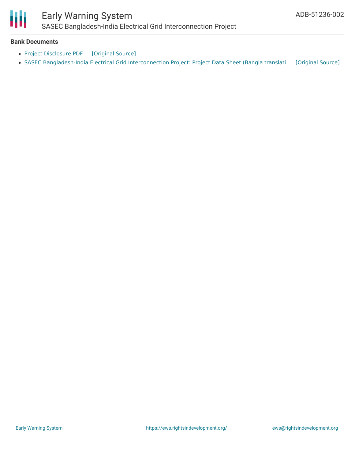

# Early Warning System

SASEC Bangladesh-India Electrical Grid Interconnection Project

### **Bank Documents**

- Project [Disclosure](https://ewsdata.rightsindevelopment.org/files/documents/02/ADB-51236-002.pdf) PDF [\[Original](https://www.adb.org/printpdf/projects/51236-002/main) Source]
- SASEC [Bangladesh-India](https://ewsdata.rightsindevelopment.org/files/documents/02/ADB-51236-002_AB7kHmK.pdf) Electrical Grid Interconnection Project: Project Data Sheet (Bangla translati [\[Original](https://www.adb.org/bn/projects/documents/ban-51236-002-pds) Source]